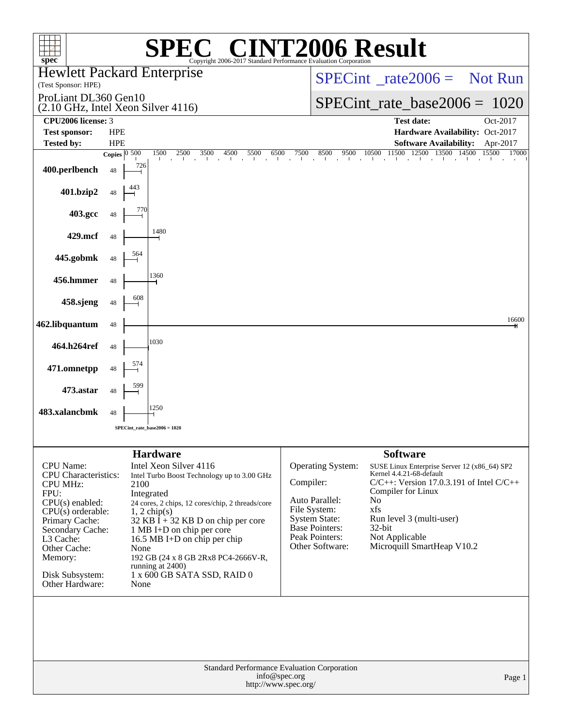| spec <sup>®</sup>                                                                                                                                                                                                                   |                        |                      | $\mathbf{P}(\mathbb{R})$<br>Copyright 2006-2017 Standard Performance Evaluation Corporation                                                                                                                                                                                                                                                                                       |           |                                                                                                                                    | <b>72006 Result</b>                                                                                                                                                                                                                                                      |                |
|-------------------------------------------------------------------------------------------------------------------------------------------------------------------------------------------------------------------------------------|------------------------|----------------------|-----------------------------------------------------------------------------------------------------------------------------------------------------------------------------------------------------------------------------------------------------------------------------------------------------------------------------------------------------------------------------------|-----------|------------------------------------------------------------------------------------------------------------------------------------|--------------------------------------------------------------------------------------------------------------------------------------------------------------------------------------------------------------------------------------------------------------------------|----------------|
| <b>Hewlett Packard Enterprise</b><br>(Test Sponsor: HPE)                                                                                                                                                                            |                        |                      |                                                                                                                                                                                                                                                                                                                                                                                   |           |                                                                                                                                    | $SPECint^{\circ} rate2006 =$ Not Run                                                                                                                                                                                                                                     |                |
| ProLiant DL360 Gen10<br>(2.10 GHz, Intel Xeon Silver 4116)                                                                                                                                                                          |                        |                      |                                                                                                                                                                                                                                                                                                                                                                                   |           |                                                                                                                                    | $SPECint_rate_base2006 = 1020$                                                                                                                                                                                                                                           |                |
| CPU2006 license: 3<br><b>Test sponsor:</b>                                                                                                                                                                                          | <b>HPE</b>             |                      |                                                                                                                                                                                                                                                                                                                                                                                   |           |                                                                                                                                    | <b>Test date:</b><br>Hardware Availability: Oct-2017                                                                                                                                                                                                                     | Oct-2017       |
| <b>Tested by:</b>                                                                                                                                                                                                                   | <b>HPE</b>             |                      |                                                                                                                                                                                                                                                                                                                                                                                   |           |                                                                                                                                    | <b>Software Availability:</b>                                                                                                                                                                                                                                            | Apr-2017       |
|                                                                                                                                                                                                                                     | Copies $\boxed{0.500}$ |                      | 1500<br>2500<br>3500<br>4500<br>5500<br>6500                                                                                                                                                                                                                                                                                                                                      | 7500      | 8500<br>9500<br>$\sim$ $\sim$ $\sim$ $\sim$                                                                                        | 11500<br>12500<br>10500<br>13500 14500                                                                                                                                                                                                                                   | 15500<br>17000 |
| 400.perlbench                                                                                                                                                                                                                       | 48                     | 726                  |                                                                                                                                                                                                                                                                                                                                                                                   |           |                                                                                                                                    |                                                                                                                                                                                                                                                                          |                |
| 401.bzip2                                                                                                                                                                                                                           | 48                     |                      |                                                                                                                                                                                                                                                                                                                                                                                   |           |                                                                                                                                    |                                                                                                                                                                                                                                                                          |                |
| 403.gcc                                                                                                                                                                                                                             | 48                     |                      |                                                                                                                                                                                                                                                                                                                                                                                   |           |                                                                                                                                    |                                                                                                                                                                                                                                                                          |                |
| 429.mcf                                                                                                                                                                                                                             | 48                     |                      | 1480                                                                                                                                                                                                                                                                                                                                                                              |           |                                                                                                                                    |                                                                                                                                                                                                                                                                          |                |
| 445.gobmk                                                                                                                                                                                                                           | 48                     |                      |                                                                                                                                                                                                                                                                                                                                                                                   |           |                                                                                                                                    |                                                                                                                                                                                                                                                                          |                |
| 456.hmmer                                                                                                                                                                                                                           | 48                     |                      | 1360                                                                                                                                                                                                                                                                                                                                                                              |           |                                                                                                                                    |                                                                                                                                                                                                                                                                          |                |
| 458.sjeng                                                                                                                                                                                                                           | 48                     | 608                  |                                                                                                                                                                                                                                                                                                                                                                                   |           |                                                                                                                                    |                                                                                                                                                                                                                                                                          |                |
| 462.libquantum                                                                                                                                                                                                                      | 48                     |                      |                                                                                                                                                                                                                                                                                                                                                                                   |           |                                                                                                                                    |                                                                                                                                                                                                                                                                          | 16600          |
| 464.h264ref                                                                                                                                                                                                                         | 48                     |                      | 1030                                                                                                                                                                                                                                                                                                                                                                              |           |                                                                                                                                    |                                                                                                                                                                                                                                                                          |                |
| 471.omnetpp                                                                                                                                                                                                                         | 48                     |                      |                                                                                                                                                                                                                                                                                                                                                                                   |           |                                                                                                                                    |                                                                                                                                                                                                                                                                          |                |
| 473.astar                                                                                                                                                                                                                           | 48                     |                      |                                                                                                                                                                                                                                                                                                                                                                                   |           |                                                                                                                                    |                                                                                                                                                                                                                                                                          |                |
| 483.xalancbmk                                                                                                                                                                                                                       | 48                     |                      | 1250                                                                                                                                                                                                                                                                                                                                                                              |           |                                                                                                                                    |                                                                                                                                                                                                                                                                          |                |
|                                                                                                                                                                                                                                     |                        |                      | $SPECint_rate_base2006 = 1020$                                                                                                                                                                                                                                                                                                                                                    |           |                                                                                                                                    |                                                                                                                                                                                                                                                                          |                |
|                                                                                                                                                                                                                                     |                        |                      |                                                                                                                                                                                                                                                                                                                                                                                   |           |                                                                                                                                    |                                                                                                                                                                                                                                                                          |                |
| CPU Name:<br><b>CPU</b> Characteristics:<br><b>CPU MHz:</b><br>FPU:<br>$CPU(s)$ enabled:<br>$CPU(s)$ orderable:<br>Primary Cache:<br>Secondary Cache:<br>L3 Cache:<br>Other Cache:<br>Memory:<br>Disk Subsystem:<br>Other Hardware: |                        | 2100<br>None<br>None | <b>Hardware</b><br>Intel Xeon Silver 4116<br>Intel Turbo Boost Technology up to 3.00 GHz<br>Integrated<br>24 cores, 2 chips, 12 cores/chip, 2 threads/core<br>$1, 2$ chip(s)<br>32 KB $\bar{I}$ + 32 KB D on chip per core<br>1 MB I+D on chip per core<br>16.5 MB I+D on chip per chip<br>192 GB (24 x 8 GB 2Rx8 PC4-2666V-R,<br>running at 2400)<br>1 x 600 GB SATA SSD, RAID 0 | Compiler: | Operating System:<br>Auto Parallel:<br>File System:<br><b>System State:</b><br>Base Pointers:<br>Peak Pointers:<br>Other Software: | <b>Software</b><br>SUSE Linux Enterprise Server 12 (x86_64) SP2<br>Kernel 4.4.21-68-default<br>$C/C++$ : Version 17.0.3.191 of Intel $C/C++$<br>Compiler for Linux<br>No<br>xfs<br>Run level 3 (multi-user)<br>$32$ -bit<br>Not Applicable<br>Microquill SmartHeap V10.2 |                |
|                                                                                                                                                                                                                                     |                        |                      | Standard Performance Evaluation Corporation<br>info@spec.org<br>http://www.spec.org/                                                                                                                                                                                                                                                                                              |           |                                                                                                                                    |                                                                                                                                                                                                                                                                          | Page 1         |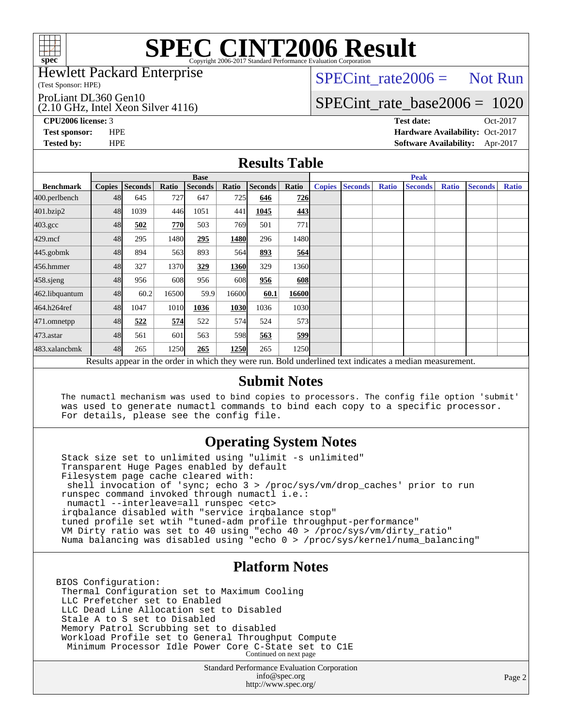

#### Hewlett Packard Enterprise

(Test Sponsor: HPE)

ProLiant DL360 Gen10

(2.10 GHz, Intel Xeon Silver 4116)

 $SPECTnt_rate2006 = Not Run$ 

## [SPECint\\_rate\\_base2006 =](http://www.spec.org/auto/cpu2006/Docs/result-fields.html#SPECintratebase2006) 1020

**[CPU2006 license:](http://www.spec.org/auto/cpu2006/Docs/result-fields.html#CPU2006license)** 3 **[Test date:](http://www.spec.org/auto/cpu2006/Docs/result-fields.html#Testdate)** Oct-2017 **[Test sponsor:](http://www.spec.org/auto/cpu2006/Docs/result-fields.html#Testsponsor)** HPE **[Hardware Availability:](http://www.spec.org/auto/cpu2006/Docs/result-fields.html#HardwareAvailability)** Oct-2017 **[Tested by:](http://www.spec.org/auto/cpu2006/Docs/result-fields.html#Testedby)** HPE **[Software Availability:](http://www.spec.org/auto/cpu2006/Docs/result-fields.html#SoftwareAvailability)** Apr-2017

### **[Results Table](http://www.spec.org/auto/cpu2006/Docs/result-fields.html#ResultsTable)**

|                                                                                                          | <b>Base</b>   |                |       |                |            |                |                   | <b>Peak</b>   |                |              |                |              |                |              |
|----------------------------------------------------------------------------------------------------------|---------------|----------------|-------|----------------|------------|----------------|-------------------|---------------|----------------|--------------|----------------|--------------|----------------|--------------|
| <b>Benchmark</b>                                                                                         | <b>Copies</b> | <b>Seconds</b> | Ratio | <b>Seconds</b> | Ratio      | <b>Seconds</b> | Ratio             | <b>Copies</b> | <b>Seconds</b> | <b>Ratio</b> | <b>Seconds</b> | <b>Ratio</b> | <b>Seconds</b> | <b>Ratio</b> |
| 400.perlbench                                                                                            | 48            | 645            | 727   | 647            | <b>725</b> | 646            | 726               |               |                |              |                |              |                |              |
| 401.bzip2                                                                                                | 48            | 1039           | 446   | 1051           | 441        | 1045           | 443               |               |                |              |                |              |                |              |
| $403.\mathrm{gcc}$                                                                                       | 48            | 502            | 770   | 503            | 769        | 501            | 771               |               |                |              |                |              |                |              |
| $429$ .mcf                                                                                               | 48            | 295            | 1480  | 295            | 1480       | 296            | 1480 <sub>l</sub> |               |                |              |                |              |                |              |
| $445$ .gobm $k$                                                                                          | 48            | 894            | 563   | 893            | 564        | 893            | 564               |               |                |              |                |              |                |              |
| 456.hmmer                                                                                                | 48            | 327            | 1370  | 329            | 1360       | 329            | 1360              |               |                |              |                |              |                |              |
| 458.sjeng                                                                                                | 48            | 956            | 608   | 956            | 608        | 956            | 608               |               |                |              |                |              |                |              |
| 462.libquantum                                                                                           | 48            | 60.2           | 16500 | 59.9           | 16600      | 60.1           | 16600             |               |                |              |                |              |                |              |
| 464.h264ref                                                                                              | 48            | 1047           | 1010  | 1036           | 1030       | 1036           | 1030              |               |                |              |                |              |                |              |
| 471.omnetpp                                                                                              | 48            | 522            | 574   | 522            | 574        | 524            | 573 <sub>l</sub>  |               |                |              |                |              |                |              |
| $473$ . astar                                                                                            | 48            | 561            | 601   | 563            | 598        | 563            | <u>599</u>        |               |                |              |                |              |                |              |
| 483.xalancbmk                                                                                            | 48            | 265            | 1250  | 265            | 1250       | 265            | 1250              |               |                |              |                |              |                |              |
| Results appear in the order in which they were run. Bold underlined text indicates a median measurement. |               |                |       |                |            |                |                   |               |                |              |                |              |                |              |

### **[Submit Notes](http://www.spec.org/auto/cpu2006/Docs/result-fields.html#SubmitNotes)**

 The numactl mechanism was used to bind copies to processors. The config file option 'submit' was used to generate numactl commands to bind each copy to a specific processor. For details, please see the config file.

### **[Operating System Notes](http://www.spec.org/auto/cpu2006/Docs/result-fields.html#OperatingSystemNotes)**

 Stack size set to unlimited using "ulimit -s unlimited" Transparent Huge Pages enabled by default Filesystem page cache cleared with: shell invocation of 'sync; echo 3 > /proc/sys/vm/drop\_caches' prior to run runspec command invoked through numactl i.e.: numactl --interleave=all runspec <etc> irqbalance disabled with "service irqbalance stop" tuned profile set wtih "tuned-adm profile throughput-performance" VM Dirty ratio was set to 40 using "echo 40 > /proc/sys/vm/dirty\_ratio" Numa balancing was disabled using "echo 0 > /proc/sys/kernel/numa\_balancing"

### **[Platform Notes](http://www.spec.org/auto/cpu2006/Docs/result-fields.html#PlatformNotes)**

BIOS Configuration: Thermal Configuration set to Maximum Cooling LLC Prefetcher set to Enabled LLC Dead Line Allocation set to Disabled Stale A to S set to Disabled Memory Patrol Scrubbing set to disabled Workload Profile set to General Throughput Compute Minimum Processor Idle Power Core C-State set to C1E Continued on next page

> Standard Performance Evaluation Corporation [info@spec.org](mailto:info@spec.org) <http://www.spec.org/>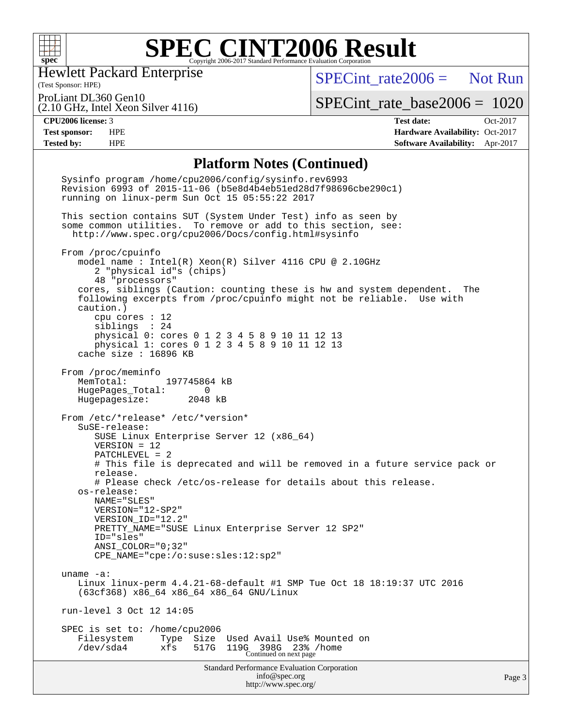

Hewlett Packard Enterprise

(2.10 GHz, Intel Xeon Silver 4116)

 $SPECTnt_rate2006 = Not Run$ 

(Test Sponsor: HPE) ProLiant DL360 Gen10

[SPECint\\_rate\\_base2006 =](http://www.spec.org/auto/cpu2006/Docs/result-fields.html#SPECintratebase2006) 1020

**[CPU2006 license:](http://www.spec.org/auto/cpu2006/Docs/result-fields.html#CPU2006license)** 3 **[Test date:](http://www.spec.org/auto/cpu2006/Docs/result-fields.html#Testdate)** Oct-2017 **[Test sponsor:](http://www.spec.org/auto/cpu2006/Docs/result-fields.html#Testsponsor)** HPE **[Hardware Availability:](http://www.spec.org/auto/cpu2006/Docs/result-fields.html#HardwareAvailability)** Oct-2017 **[Tested by:](http://www.spec.org/auto/cpu2006/Docs/result-fields.html#Testedby)** HPE **[Software Availability:](http://www.spec.org/auto/cpu2006/Docs/result-fields.html#SoftwareAvailability)** Apr-2017

#### **[Platform Notes \(Continued\)](http://www.spec.org/auto/cpu2006/Docs/result-fields.html#PlatformNotes)**

Standard Performance Evaluation Corporation [info@spec.org](mailto:info@spec.org) <http://www.spec.org/> Page 3 Sysinfo program /home/cpu2006/config/sysinfo.rev6993 Revision 6993 of 2015-11-06 (b5e8d4b4eb51ed28d7f98696cbe290c1) running on linux-perm Sun Oct 15 05:55:22 2017 This section contains SUT (System Under Test) info as seen by some common utilities. To remove or add to this section, see: <http://www.spec.org/cpu2006/Docs/config.html#sysinfo> From /proc/cpuinfo model name : Intel(R) Xeon(R) Silver 4116 CPU @ 2.10GHz 2 "physical id"s (chips) 48 "processors" cores, siblings (Caution: counting these is hw and system dependent. The following excerpts from /proc/cpuinfo might not be reliable. Use with caution.) cpu cores : 12 siblings : 24 physical 0: cores 0 1 2 3 4 5 8 9 10 11 12 13 physical 1: cores 0 1 2 3 4 5 8 9 10 11 12 13 cache size : 16896 KB From /proc/meminfo<br>MemTotal: 197745864 kB HugePages\_Total: 0 Hugepagesize: 2048 kB From /etc/\*release\* /etc/\*version\* SuSE-release: SUSE Linux Enterprise Server 12 (x86\_64) VERSION = 12 PATCHLEVEL = 2 # This file is deprecated and will be removed in a future service pack or release. # Please check /etc/os-release for details about this release. os-release: NAME="SLES" VERSION="12-SP2" VERSION\_ID="12.2" PRETTY\_NAME="SUSE Linux Enterprise Server 12 SP2" ID="sles" ANSI\_COLOR="0;32" CPE\_NAME="cpe:/o:suse:sles:12:sp2" uname -a: Linux linux-perm 4.4.21-68-default #1 SMP Tue Oct 18 18:19:37 UTC 2016 (63cf368) x86\_64 x86\_64 x86\_64 GNU/Linux run-level 3 Oct 12 14:05 SPEC is set to: /home/cpu2006 Filesystem Type Size Used Avail Use% Mounted on /dev/sda4 xfs 517G 119G 398G 23% /home Continued on next page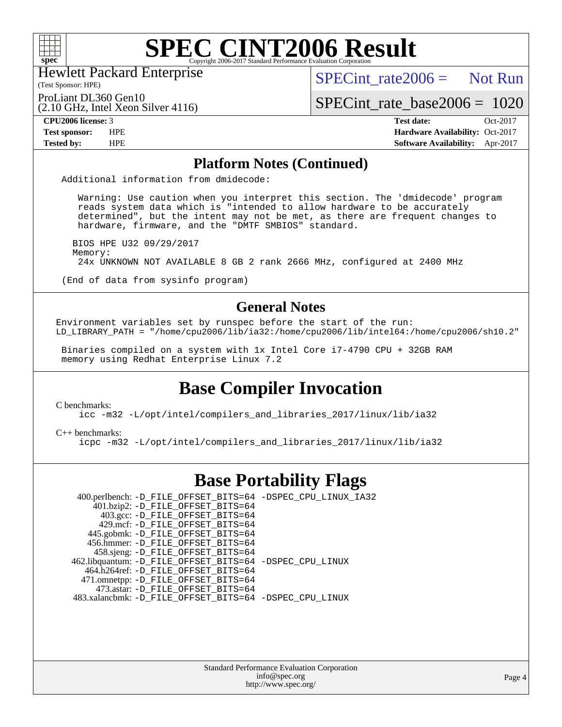

Hewlett Packard Enterprise

(2.10 GHz, Intel Xeon Silver 4116)

 $SPECint rate2006 =$  Not Run

(Test Sponsor: HPE) ProLiant DL360 Gen10

[SPECint\\_rate\\_base2006 =](http://www.spec.org/auto/cpu2006/Docs/result-fields.html#SPECintratebase2006) 1020

**[CPU2006 license:](http://www.spec.org/auto/cpu2006/Docs/result-fields.html#CPU2006license)** 3 **[Test date:](http://www.spec.org/auto/cpu2006/Docs/result-fields.html#Testdate)** Oct-2017 **[Test sponsor:](http://www.spec.org/auto/cpu2006/Docs/result-fields.html#Testsponsor)** HPE **[Hardware Availability:](http://www.spec.org/auto/cpu2006/Docs/result-fields.html#HardwareAvailability)** Oct-2017 **[Tested by:](http://www.spec.org/auto/cpu2006/Docs/result-fields.html#Testedby)** HPE **[Software Availability:](http://www.spec.org/auto/cpu2006/Docs/result-fields.html#SoftwareAvailability)** Apr-2017

### **[Platform Notes \(Continued\)](http://www.spec.org/auto/cpu2006/Docs/result-fields.html#PlatformNotes)**

Additional information from dmidecode:

 Warning: Use caution when you interpret this section. The 'dmidecode' program reads system data which is "intended to allow hardware to be accurately determined", but the intent may not be met, as there are frequent changes to hardware, firmware, and the "DMTF SMBIOS" standard.

 BIOS HPE U32 09/29/2017 Memory: 24x UNKNOWN NOT AVAILABLE 8 GB 2 rank 2666 MHz, configured at 2400 MHz

(End of data from sysinfo program)

### **[General Notes](http://www.spec.org/auto/cpu2006/Docs/result-fields.html#GeneralNotes)**

Environment variables set by runspec before the start of the run: LD\_LIBRARY\_PATH = "/home/cpu2006/lib/ia32:/home/cpu2006/lib/intel64:/home/cpu2006/sh10.2"

 Binaries compiled on a system with 1x Intel Core i7-4790 CPU + 32GB RAM memory using Redhat Enterprise Linux 7.2

### **[Base Compiler Invocation](http://www.spec.org/auto/cpu2006/Docs/result-fields.html#BaseCompilerInvocation)**

[C benchmarks](http://www.spec.org/auto/cpu2006/Docs/result-fields.html#Cbenchmarks):

[icc -m32 -L/opt/intel/compilers\\_and\\_libraries\\_2017/linux/lib/ia32](http://www.spec.org/cpu2006/results/res2017q4/cpu2006-20171031-50488.flags.html#user_CCbase_intel_icc_c29f3ff5a7ed067b11e4ec10a03f03ae)

[C++ benchmarks:](http://www.spec.org/auto/cpu2006/Docs/result-fields.html#CXXbenchmarks)

[icpc -m32 -L/opt/intel/compilers\\_and\\_libraries\\_2017/linux/lib/ia32](http://www.spec.org/cpu2006/results/res2017q4/cpu2006-20171031-50488.flags.html#user_CXXbase_intel_icpc_8c35c7808b62dab9ae41a1aa06361b6b)

### **[Base Portability Flags](http://www.spec.org/auto/cpu2006/Docs/result-fields.html#BasePortabilityFlags)**

 400.perlbench: [-D\\_FILE\\_OFFSET\\_BITS=64](http://www.spec.org/cpu2006/results/res2017q4/cpu2006-20171031-50488.flags.html#user_basePORTABILITY400_perlbench_file_offset_bits_64_438cf9856305ebd76870a2c6dc2689ab) [-DSPEC\\_CPU\\_LINUX\\_IA32](http://www.spec.org/cpu2006/results/res2017q4/cpu2006-20171031-50488.flags.html#b400.perlbench_baseCPORTABILITY_DSPEC_CPU_LINUX_IA32) 401.bzip2: [-D\\_FILE\\_OFFSET\\_BITS=64](http://www.spec.org/cpu2006/results/res2017q4/cpu2006-20171031-50488.flags.html#user_basePORTABILITY401_bzip2_file_offset_bits_64_438cf9856305ebd76870a2c6dc2689ab) 403.gcc: [-D\\_FILE\\_OFFSET\\_BITS=64](http://www.spec.org/cpu2006/results/res2017q4/cpu2006-20171031-50488.flags.html#user_basePORTABILITY403_gcc_file_offset_bits_64_438cf9856305ebd76870a2c6dc2689ab) 429.mcf: [-D\\_FILE\\_OFFSET\\_BITS=64](http://www.spec.org/cpu2006/results/res2017q4/cpu2006-20171031-50488.flags.html#user_basePORTABILITY429_mcf_file_offset_bits_64_438cf9856305ebd76870a2c6dc2689ab) 445.gobmk: [-D\\_FILE\\_OFFSET\\_BITS=64](http://www.spec.org/cpu2006/results/res2017q4/cpu2006-20171031-50488.flags.html#user_basePORTABILITY445_gobmk_file_offset_bits_64_438cf9856305ebd76870a2c6dc2689ab) 456.hmmer: [-D\\_FILE\\_OFFSET\\_BITS=64](http://www.spec.org/cpu2006/results/res2017q4/cpu2006-20171031-50488.flags.html#user_basePORTABILITY456_hmmer_file_offset_bits_64_438cf9856305ebd76870a2c6dc2689ab) 458.sjeng: [-D\\_FILE\\_OFFSET\\_BITS=64](http://www.spec.org/cpu2006/results/res2017q4/cpu2006-20171031-50488.flags.html#user_basePORTABILITY458_sjeng_file_offset_bits_64_438cf9856305ebd76870a2c6dc2689ab) 462.libquantum: [-D\\_FILE\\_OFFSET\\_BITS=64](http://www.spec.org/cpu2006/results/res2017q4/cpu2006-20171031-50488.flags.html#user_basePORTABILITY462_libquantum_file_offset_bits_64_438cf9856305ebd76870a2c6dc2689ab) [-DSPEC\\_CPU\\_LINUX](http://www.spec.org/cpu2006/results/res2017q4/cpu2006-20171031-50488.flags.html#b462.libquantum_baseCPORTABILITY_DSPEC_CPU_LINUX) 464.h264ref: [-D\\_FILE\\_OFFSET\\_BITS=64](http://www.spec.org/cpu2006/results/res2017q4/cpu2006-20171031-50488.flags.html#user_basePORTABILITY464_h264ref_file_offset_bits_64_438cf9856305ebd76870a2c6dc2689ab) 471.omnetpp: [-D\\_FILE\\_OFFSET\\_BITS=64](http://www.spec.org/cpu2006/results/res2017q4/cpu2006-20171031-50488.flags.html#user_basePORTABILITY471_omnetpp_file_offset_bits_64_438cf9856305ebd76870a2c6dc2689ab) 473.astar: [-D\\_FILE\\_OFFSET\\_BITS=64](http://www.spec.org/cpu2006/results/res2017q4/cpu2006-20171031-50488.flags.html#user_basePORTABILITY473_astar_file_offset_bits_64_438cf9856305ebd76870a2c6dc2689ab) 483.xalancbmk: [-D\\_FILE\\_OFFSET\\_BITS=64](http://www.spec.org/cpu2006/results/res2017q4/cpu2006-20171031-50488.flags.html#user_basePORTABILITY483_xalancbmk_file_offset_bits_64_438cf9856305ebd76870a2c6dc2689ab) [-DSPEC\\_CPU\\_LINUX](http://www.spec.org/cpu2006/results/res2017q4/cpu2006-20171031-50488.flags.html#b483.xalancbmk_baseCXXPORTABILITY_DSPEC_CPU_LINUX)

> Standard Performance Evaluation Corporation [info@spec.org](mailto:info@spec.org) <http://www.spec.org/>